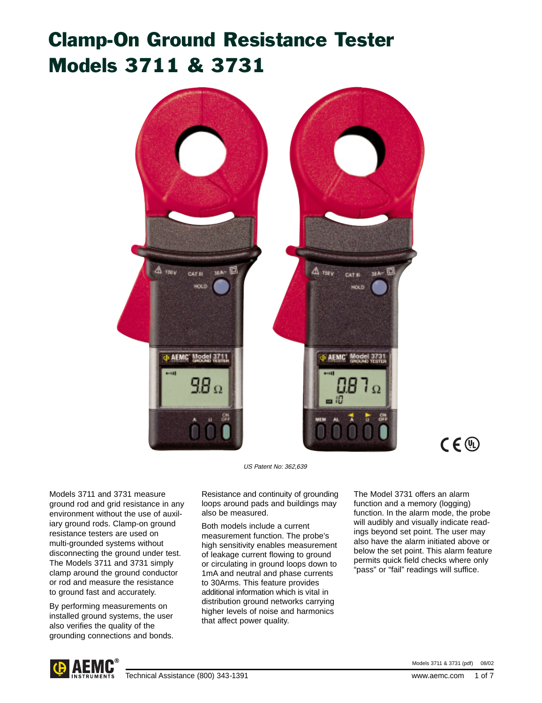# Clamp-On Ground Resistance Tester Models 3711 & 3731



US Patent No: 362,639

Models 3711 and 3731 measure ground rod and grid resistance in any environment without the use of auxiliary ground rods. Clamp-on ground resistance testers are used on multi-grounded systems without disconnecting the ground under test. The Models 3711 and 3731 simply clamp around the ground conductor or rod and measure the resistance to ground fast and accurately.

By performing measurements on installed ground systems, the user also verifies the quality of the grounding connections and bonds.

Resistance and continuity of grounding loops around pads and buildings may also be measured.

Both models include a current measurement function. The probe's high sensitivity enables measurement of leakage current flowing to ground or circulating in ground loops down to 1mA and neutral and phase currents to 30Arms. This feature provides additional information which is vital in distribution ground networks carrying higher levels of noise and harmonics that affect power quality.

The Model 3731 offers an alarm function and a memory (logging) function. In the alarm mode, the probe will audibly and visually indicate readings beyond set point. The user may also have the alarm initiated above or below the set point. This alarm feature permits quick field checks where only "pass" or "fail" readings will suffice.



Models 3711 & 3731 (pdf) 08/02

 $C \in \mathbb{Q}$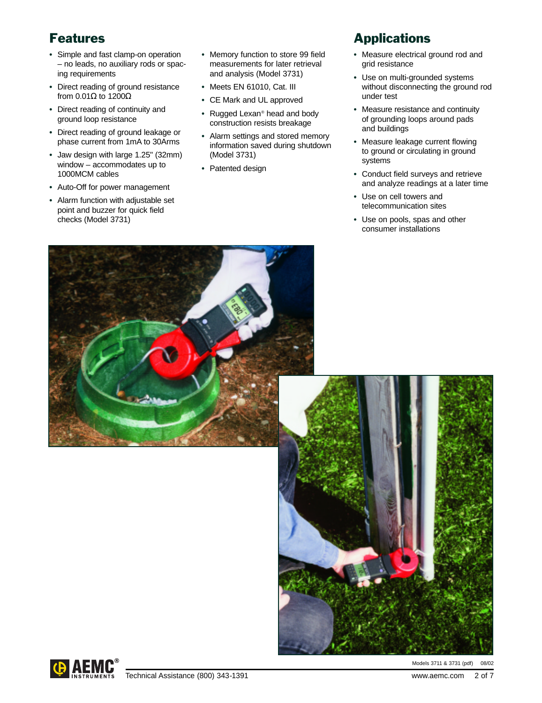# Features

- **•** Simple and fast clamp-on operation – no leads, no auxiliary rods or spacing requirements
- **•** Direct reading of ground resistance from  $0.01\Omega$  to  $1200\Omega$
- **•** Direct reading of continuity and ground loop resistance
- **•** Direct reading of ground leakage or phase current from 1mA to 30Arms
- **•** Jaw design with large 1.25" (32mm) window – accommodates up to 1000MCM cables
- **•** Auto-Off for power management
- **•** Alarm function with adjustable set point and buzzer for quick field checks (Model 3731)
- **•** Memory function to store 99 field measurements for later retrieval and analysis (Model 3731)
- **•** Meets EN 61010, Cat. III
- **•** CE Mark and UL approved
- **•** Rugged Lexan® head and body construction resists breakage
- **•** Alarm settings and stored memory information saved during shutdown (Model 3731)
- **•** Patented design

# **Applications**

- **•** Measure electrical ground rod and grid resistance
- **•** Use on multi-grounded systems without disconnecting the ground rod under test
- **•** Measure resistance and continuity of grounding loops around pads and buildings
- **•** Measure leakage current flowing to ground or circulating in ground systems
- **•** Conduct field surveys and retrieve and analyze readings at a later time
- **•** Use on cell towers and telecommunication sites
- **•** Use on pools, spas and other consumer installations



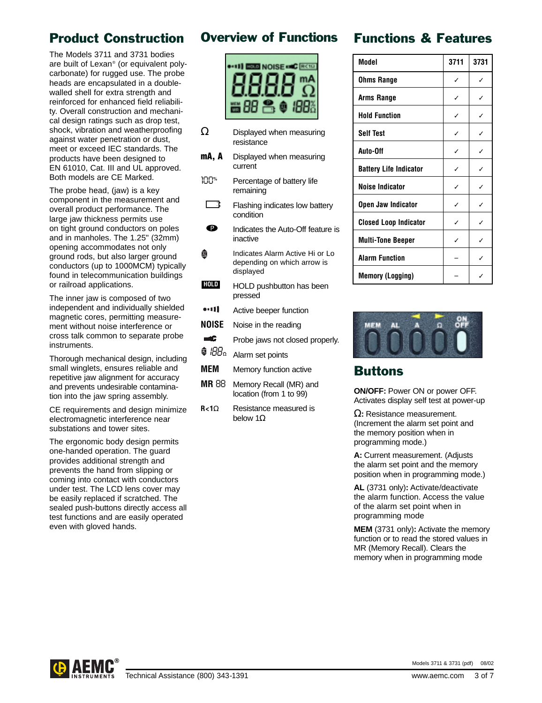# Product Construction

The Models 3711 and 3731 bodies are built of Lexan® (or equivalent polycarbonate) for rugged use. The probe heads are encapsulated in a doublewalled shell for extra strength and reinforced for enhanced field reliability. Overall construction and mechanical design ratings such as drop test, shock, vibration and weatherproofing against water penetration or dust, meet or exceed IEC standards. The products have been designed to EN 61010, Cat. III and UL approved. Both models are CE Marked.

The probe head, (jaw) is a key component in the measurement and overall product performance. The large jaw thickness permits use on tight ground conductors on poles and in manholes. The 1.25" (32mm) opening accommodates not only ground rods, but also larger ground conductors (up to 1000MCM) typically found in telecommunication buildings or railroad applications.

The inner jaw is composed of two independent and individually shielded magnetic cores, permitting measurement without noise interference or cross talk common to separate probe instruments.

Thorough mechanical design, including small winglets, ensures reliable and repetitive jaw alignment for accuracy and prevents undesirable contamination into the jaw spring assembly.

CE requirements and design minimize electromagnetic interference near substations and tower sites.

The ergonomic body design permits one-handed operation. The guard provides additional strength and prevents the hand from slipping or coming into contact with conductors under test. The LCD lens cover may be easily replaced if scratched. The sealed push-buttons directly access all test functions and are easily operated even with gloved hands.

## Overview of Functions



- $\Omega$  Displayed when measuring resistance
- **mA, A** Displayed when measuring current
- *100***%** Percentage of battery life remaining
- Flashing indicates low battery condition **+ –**
- $\bullet$ Indicates the Auto-Off feature is inactive
- Indicates Alarm Active Hi or Lo Ô depending on which arrow is displayed
- HOLD pushbutton has been pressed **HOLD**
- $...11$ Active beeper function
- **NOISE** Noise in the reading
- $\rightarrow$ Probe jaws not closed properly.
- <sup>4</sup> *IBB*<sup>2</sup> Alarm set points
- **MEM** Memory function active
- **MR** *88* Memory Recall (MR) and location (from 1 to 99)
- **R<1**Ω Resistance measured is below 1Ω

| <b>Functions &amp; Features</b> |  |
|---------------------------------|--|
|---------------------------------|--|

| Model                         | 3711 | 3731 |
|-------------------------------|------|------|
| <b>Ohms Range</b>             | ✓    | ℐ    |
| Arms Range                    | ℐ    | J    |
| <b>Hold Function</b>          | ℐ    | ✓    |
| <b>Self Test</b>              | ✓    | ✓    |
| Auto-Off                      | ✓    | ✓    |
| <b>Battery Life Indicator</b> | ✓    | ✓    |
| <b>Noise Indicator</b>        | ✓    | ✓    |
| Open Jaw Indicator            | ✓    | ✓    |
| <b>Closed Loop Indicator</b>  |      |      |
| <b>Multi-Tone Beeper</b>      | J    | ✓    |
| <b>Alarm Function</b>         |      | ✓    |
| <b>Memory (Logging)</b>       |      |      |



### Buttons

**ON/OFF:** Power ON or power OFF. Activates display self test at power-up

Ω**:** Resistance measurement. (Increment the alarm set point and the memory position when in programming mode.)

**A:** Current measurement. (Adjusts the alarm set point and the memory position when in programming mode.)

**AL** (3731 only)**:** Activate/deactivate the alarm function. Access the value of the alarm set point when in programming mode

**MEM** (3731 only)**:** Activate the memory function or to read the stored values in MR (Memory Recall). Clears the memory when in programming mode

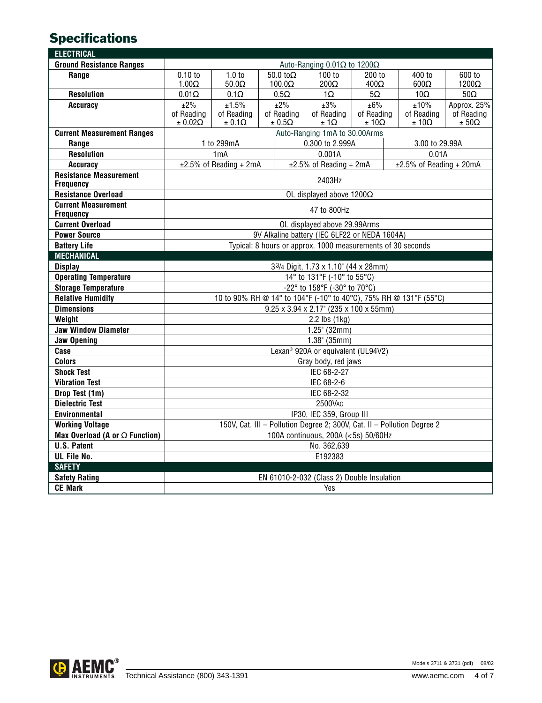# **Specifications**

| <b>ELECTRICAL</b>                                          |                                                                                                                          |                                                                |                              |             |                                 |                                 |                            |                                 |                              |
|------------------------------------------------------------|--------------------------------------------------------------------------------------------------------------------------|----------------------------------------------------------------|------------------------------|-------------|---------------------------------|---------------------------------|----------------------------|---------------------------------|------------------------------|
| <b>Ground Resistance Ranges</b>                            |                                                                                                                          |                                                                |                              |             | Auto-Ranging 0.01Ω to 1200Ω     |                                 |                            |                                 |                              |
| Range                                                      | $0.10$ to                                                                                                                | 1.0 <sub>to</sub>                                              | 50.0 to $\Omega$             |             | 100 to                          | 200 to                          |                            | 400 to                          | 600 to                       |
|                                                            | $1.00\Omega$                                                                                                             | $50.0\Omega$                                                   | $100.0\Omega$                |             | $200\Omega$                     | $400\Omega$                     |                            | $600\Omega$                     | $1200\Omega$                 |
| <b>Resolution</b>                                          | $0.01\Omega$                                                                                                             | $0.1\Omega$                                                    |                              | $0.5\Omega$ | $1\Omega$                       | $5\Omega$                       |                            | $10\Omega$                      | $50\Omega$                   |
| <b>Accuracy</b>                                            | ±2%                                                                                                                      | ±1.5%                                                          |                              | ±2%         | ±3%                             | ±6%                             |                            | ±10%                            | Approx. 25%                  |
|                                                            | of Reading<br>$\pm 0.02\Omega$                                                                                           | of Reading<br>$\pm 0.1\Omega$                                  | of Reading<br>$\pm$ 0.5<br>Ω |             | of Reading<br>$\pm$ 1 $\Omega$  | of Reading<br>$\pm$ 10 $\Omega$ |                            | of Reading<br>$\pm$ 10 $\Omega$ | of Reading<br>$\pm 50\Omega$ |
| <b>Current Measurement Ranges</b>                          |                                                                                                                          |                                                                |                              |             |                                 |                                 |                            |                                 |                              |
| Range                                                      |                                                                                                                          | Auto-Ranging 1mA to 30.00Arms<br>0.300 to 2.999A<br>1 to 299mA |                              |             |                                 |                                 | 3.00 to 29.99A             |                                 |                              |
| <b>Resolution</b>                                          |                                                                                                                          | 0.001A<br>1mA                                                  |                              |             |                                 | 0.01A                           |                            |                                 |                              |
| <b>Accuracy</b>                                            |                                                                                                                          | $±2.5\%$ of Reading + 2mA                                      |                              |             | $±2.5\%$ of Reading + 2mA       |                                 | $±2.5\%$ of Reading + 20mA |                                 |                              |
| <b>Resistance Measurement</b>                              |                                                                                                                          |                                                                |                              |             |                                 |                                 |                            |                                 |                              |
| Frequency                                                  |                                                                                                                          |                                                                |                              |             | 2403Hz                          |                                 |                            |                                 |                              |
| <b>Resistance Overload</b>                                 |                                                                                                                          |                                                                |                              |             | OL displayed above $1200\Omega$ |                                 |                            |                                 |                              |
| <b>Current Measurement</b>                                 | 47 to 800Hz                                                                                                              |                                                                |                              |             |                                 |                                 |                            |                                 |                              |
| <b>Frequency</b>                                           |                                                                                                                          |                                                                |                              |             |                                 |                                 |                            |                                 |                              |
| <b>Current Overload</b>                                    | OL displayed above 29.99Arms                                                                                             |                                                                |                              |             |                                 |                                 |                            |                                 |                              |
| <b>Power Source</b>                                        | 9V Alkaline battery (IEC 6LF22 or NEDA 1604A)                                                                            |                                                                |                              |             |                                 |                                 |                            |                                 |                              |
| <b>Battery Life</b>                                        | Typical: 8 hours or approx. 1000 measurements of 30 seconds                                                              |                                                                |                              |             |                                 |                                 |                            |                                 |                              |
| <b>MECHANICAL</b>                                          |                                                                                                                          |                                                                |                              |             |                                 |                                 |                            |                                 |                              |
| <b>Display</b>                                             | 33/4 Digit, 1.73 x 1.10" (44 x 28mm)                                                                                     |                                                                |                              |             |                                 |                                 |                            |                                 |                              |
| <b>Operating Temperature</b><br><b>Storage Temperature</b> | 14° to 131°F (-10° to 55°C)                                                                                              |                                                                |                              |             |                                 |                                 |                            |                                 |                              |
| <b>Relative Humidity</b>                                   | -22° to 158°F (-30° to 70°C)                                                                                             |                                                                |                              |             |                                 |                                 |                            |                                 |                              |
| <b>Dimensions</b>                                          | 10 to 90% RH @ 14° to 104°F (-10° to 40°C), 75% RH @ 131°F (55°C)<br>$9.25 \times 3.94 \times 2.17$ " (235 x 100 x 55mm) |                                                                |                              |             |                                 |                                 |                            |                                 |                              |
| Weight                                                     | $2.2$ lbs $(1kg)$                                                                                                        |                                                                |                              |             |                                 |                                 |                            |                                 |                              |
| <b>Jaw Window Diameter</b>                                 | $1.25$ " (32mm)                                                                                                          |                                                                |                              |             |                                 |                                 |                            |                                 |                              |
| <b>Jaw Opening</b>                                         | $1.38$ " (35mm)                                                                                                          |                                                                |                              |             |                                 |                                 |                            |                                 |                              |
| Case                                                       | Lexan <sup>®</sup> 920A or equivalent (UL94V2)                                                                           |                                                                |                              |             |                                 |                                 |                            |                                 |                              |
| <b>Colors</b>                                              | Gray body, red jaws                                                                                                      |                                                                |                              |             |                                 |                                 |                            |                                 |                              |
| <b>Shock Test</b>                                          | IEC 68-2-27                                                                                                              |                                                                |                              |             |                                 |                                 |                            |                                 |                              |
| <b>Vibration Test</b>                                      | IEC 68-2-6                                                                                                               |                                                                |                              |             |                                 |                                 |                            |                                 |                              |
| Drop Test (1m)                                             | IEC 68-2-32                                                                                                              |                                                                |                              |             |                                 |                                 |                            |                                 |                              |
| <b>Dielectric Test</b>                                     | 2500VAC                                                                                                                  |                                                                |                              |             |                                 |                                 |                            |                                 |                              |
| <b>Environmental</b>                                       | IP30, IEC 359, Group III                                                                                                 |                                                                |                              |             |                                 |                                 |                            |                                 |                              |
| <b>Working Voltage</b>                                     | 150V, Cat. III - Pollution Degree 2; 300V, Cat. II - Pollution Degree 2                                                  |                                                                |                              |             |                                 |                                 |                            |                                 |                              |
| Max Overload (A or $\Omega$ Function)                      | 100A continuous, 200A (<5s) 50/60Hz                                                                                      |                                                                |                              |             |                                 |                                 |                            |                                 |                              |
| <b>U.S. Patent</b>                                         | No. 362,639                                                                                                              |                                                                |                              |             |                                 |                                 |                            |                                 |                              |
| UL File No.                                                | E192383                                                                                                                  |                                                                |                              |             |                                 |                                 |                            |                                 |                              |
| <b>SAFETY</b>                                              |                                                                                                                          |                                                                |                              |             |                                 |                                 |                            |                                 |                              |
| <b>Safety Rating</b>                                       | EN 61010-2-032 (Class 2) Double Insulation                                                                               |                                                                |                              |             |                                 |                                 |                            |                                 |                              |
| <b>CE Mark</b>                                             | Yes                                                                                                                      |                                                                |                              |             |                                 |                                 |                            |                                 |                              |

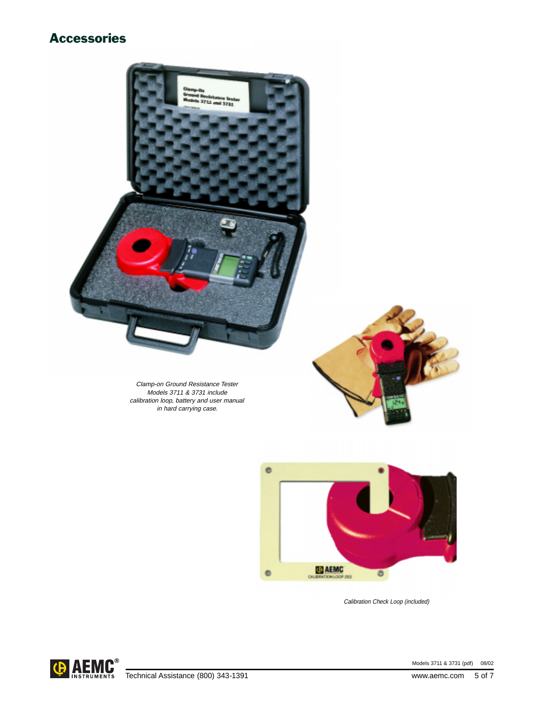## Accessories



Models 3711 & 3731 (pdf) 08/02<br>
INSTRUMENTS Technical Assistance (800) 343-1391 [www.aemc.com](http://www.aemc.com) 5 of 7

Models 3711 & 3731 (pdf) 08/02

Calibration Check Loop (included)

ð

CHRESTONLOGE 250

 $\bullet$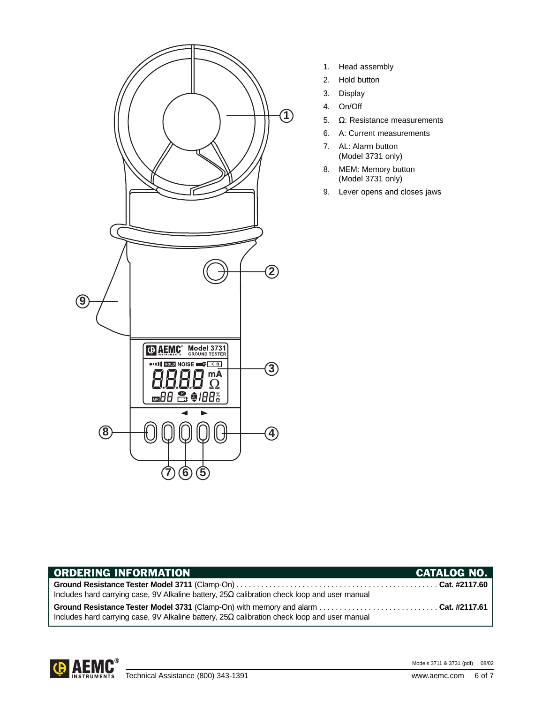

- 1. Head assembly
- 2. Hold button
- 3. Display
- 4. On/Off
- 5. Ω: Resistance measurements
- 6. A: Current measurements
- 7. AL: Alarm button (Model 3731 only)
- 8. MEM: Memory button (Model 3731 only)
- 9. Lever opens and closes jaws

| <b>ORDERING INFORMATION</b>                                                                         | <b>CATALOG NO.</b> |
|-----------------------------------------------------------------------------------------------------|--------------------|
| Includes hard carrying case, 9V Alkaline battery, $25\Omega$ calibration check loop and user manual |                    |
| Includes hard carrying case, 9V Alkaline battery, $25\Omega$ calibration check loop and user manual |                    |